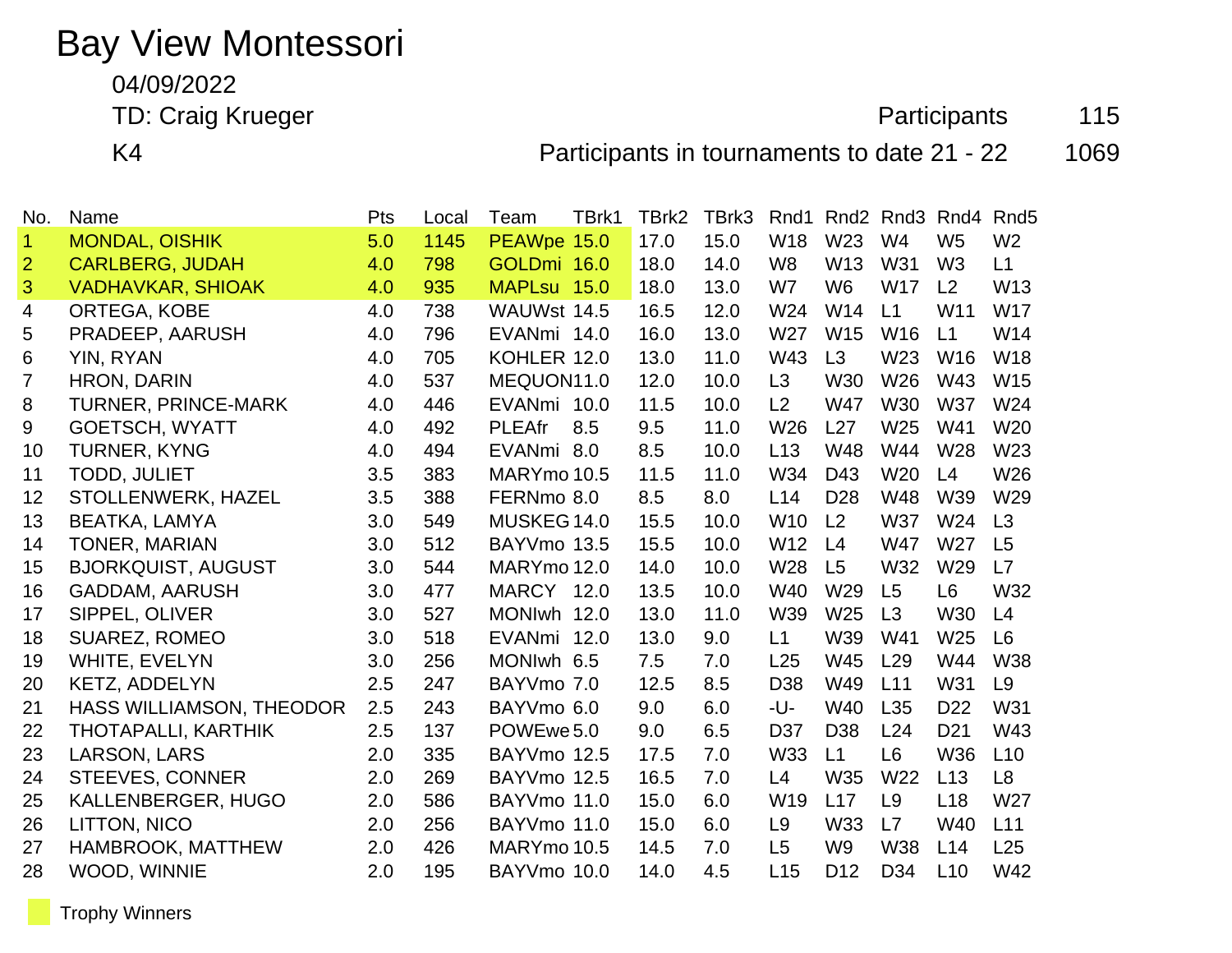## Bay View Montessori

04/09/2022

TD: Craig Krueger **Participants** 115

K4 **Participants in tournaments to date 21 - 22** 1069

| No.            | Name                       | Pts | Local | Team          | TBrk1 | TBrk2 | TBrk3 | Rnd1            |                 | Rnd <sub>2</sub> Rnd <sub>3</sub> | Rnd4            | Rnd <sub>5</sub> |
|----------------|----------------------------|-----|-------|---------------|-------|-------|-------|-----------------|-----------------|-----------------------------------|-----------------|------------------|
| $\mathbf 1$    | <b>MONDAL, OISHIK</b>      | 5.0 | 1145  | PEAWpe 15.0   |       | 17.0  | 15.0  | W18             | W23             | W <sub>4</sub>                    | W <sub>5</sub>  | W <sub>2</sub>   |
| $\overline{2}$ | <b>CARLBERG, JUDAH</b>     | 4.0 | 798   | GOLDmi 16.0   |       | 18.0  | 14.0  | W <sub>8</sub>  | W13             | W31                               | W <sub>3</sub>  | L1               |
| 3              | <b>VADHAVKAR, SHIOAK</b>   | 4.0 | 935   | MAPLsu 15.0   |       | 18.0  | 13.0  | W7              | W <sub>6</sub>  | <b>W17</b>                        | L <sub>2</sub>  | W13              |
| 4              | ORTEGA, KOBE               | 4.0 | 738   | WAUWst 14.5   |       | 16.5  | 12.0  | W24             | W14             | L1                                | W11             | <b>W17</b>       |
| 5              | PRADEEP, AARUSH            | 4.0 | 796   | EVANmi 14.0   |       | 16.0  | 13.0  | W27             | W <sub>15</sub> | W16                               | L1              | W14              |
| 6              | YIN, RYAN                  | 4.0 | 705   | KOHLER 12.0   |       | 13.0  | 11.0  | W43             | L3              | W <sub>23</sub>                   | W <sub>16</sub> | W18              |
| $\overline{7}$ | <b>HRON, DARIN</b>         | 4.0 | 537   | MEQUON11.0    |       | 12.0  | 10.0  | L <sub>3</sub>  | <b>W30</b>      | W26                               | W43             | W15              |
| 8              | <b>TURNER, PRINCE-MARK</b> | 4.0 | 446   | EVANmi 10.0   |       | 11.5  | 10.0  | L2              | <b>W47</b>      | W30                               | <b>W37</b>      | W24              |
| 9              | <b>GOETSCH, WYATT</b>      | 4.0 | 492   | <b>PLEAfr</b> | 8.5   | 9.5   | 11.0  | W26             | L27             | W25                               | W41             | W20              |
| 10             | <b>TURNER, KYNG</b>        | 4.0 | 494   | EVANmi 8.0    |       | 8.5   | 10.0  | L13             | <b>W48</b>      | W44                               | W28             | W <sub>23</sub>  |
| 11             | <b>TODD, JULIET</b>        | 3.5 | 383   | MARYmo 10.5   |       | 11.5  | 11.0  | W34             | D43             | W <sub>20</sub>                   | L4              | W26              |
| 12             | STOLLENWERK, HAZEL         | 3.5 | 388   | FERNmo 8.0    |       | 8.5   | 8.0   | L14             | D <sub>28</sub> | <b>W48</b>                        | W39             | W29              |
| 13             | <b>BEATKA, LAMYA</b>       | 3.0 | 549   | MUSKEG 14.0   |       | 15.5  | 10.0  | W <sub>10</sub> | L2              | <b>W37</b>                        | W24             | L3               |
| 14             | <b>TONER, MARIAN</b>       | 3.0 | 512   | BAYVmo 13.5   |       | 15.5  | 10.0  | W12             | L4              | <b>W47</b>                        | W27             | L5               |
| 15             | <b>BJORKQUIST, AUGUST</b>  | 3.0 | 544   | MARYmo 12.0   |       | 14.0  | 10.0  | W28             | L5              | W32                               | W29             | L7               |
| 16             | <b>GADDAM, AARUSH</b>      | 3.0 | 477   | MARCY 12.0    |       | 13.5  | 10.0  | W40             | W29             | L5                                | L <sub>6</sub>  | W32              |
| 17             | SIPPEL, OLIVER             | 3.0 | 527   | MONIwh 12.0   |       | 13.0  | 11.0  | W39             | W <sub>25</sub> | L3                                | <b>W30</b>      | L4               |
| 18             | <b>SUAREZ, ROMEO</b>       | 3.0 | 518   | EVANmi 12.0   |       | 13.0  | 9.0   | L1              | W39             | W41                               | W <sub>25</sub> | L <sub>6</sub>   |
| 19             | WHITE, EVELYN              | 3.0 | 256   | MONIwh 6.5    |       | 7.5   | 7.0   | L25             | W45             | L29                               | W44             | <b>W38</b>       |
| 20             | <b>KETZ, ADDELYN</b>       | 2.5 | 247   | BAYVmo 7.0    |       | 12.5  | 8.5   | D <sub>38</sub> | W49             | L11                               | W31             | L <sub>9</sub>   |
| 21             | HASS WILLIAMSON, THEODOR   | 2.5 | 243   | BAYVmo 6.0    |       | 9.0   | 6.0   | -U-             | W40             | L35                               | D <sub>22</sub> | W31              |
| 22             | THOTAPALLI, KARTHIK        | 2.5 | 137   | POWEwe 5.0    |       | 9.0   | 6.5   | D37             | D <sub>38</sub> | L24                               | D <sub>21</sub> | W43              |
| 23             | LARSON, LARS               | 2.0 | 335   | BAYVmo 12.5   |       | 17.5  | 7.0   | W33             | L1              | L <sub>6</sub>                    | <b>W36</b>      | L10              |
| 24             | <b>STEEVES, CONNER</b>     | 2.0 | 269   | BAYVmo 12.5   |       | 16.5  | 7.0   | L4              | W35             | W22                               | L13             | L <sub>8</sub>   |
| 25             | KALLENBERGER, HUGO         | 2.0 | 586   | BAYVmo 11.0   |       | 15.0  | 6.0   | W19             | L17             | L <sub>9</sub>                    | L18             | W27              |
| 26             | LITTON, NICO               | 2.0 | 256   | BAYVmo 11.0   |       | 15.0  | 6.0   | L <sub>9</sub>  | <b>W33</b>      | L7                                | <b>W40</b>      | L11              |
| 27             | <b>HAMBROOK, MATTHEW</b>   | 2.0 | 426   | MARYmo 10.5   |       | 14.5  | 7.0   | L <sub>5</sub>  | W <sub>9</sub>  | <b>W38</b>                        | L14             | L25              |
| 28             | WOOD, WINNIE               | 2.0 | 195   | BAYVmo 10.0   |       | 14.0  | 4.5   | L15             | D <sub>12</sub> | D <sub>34</sub>                   | L10             | W42              |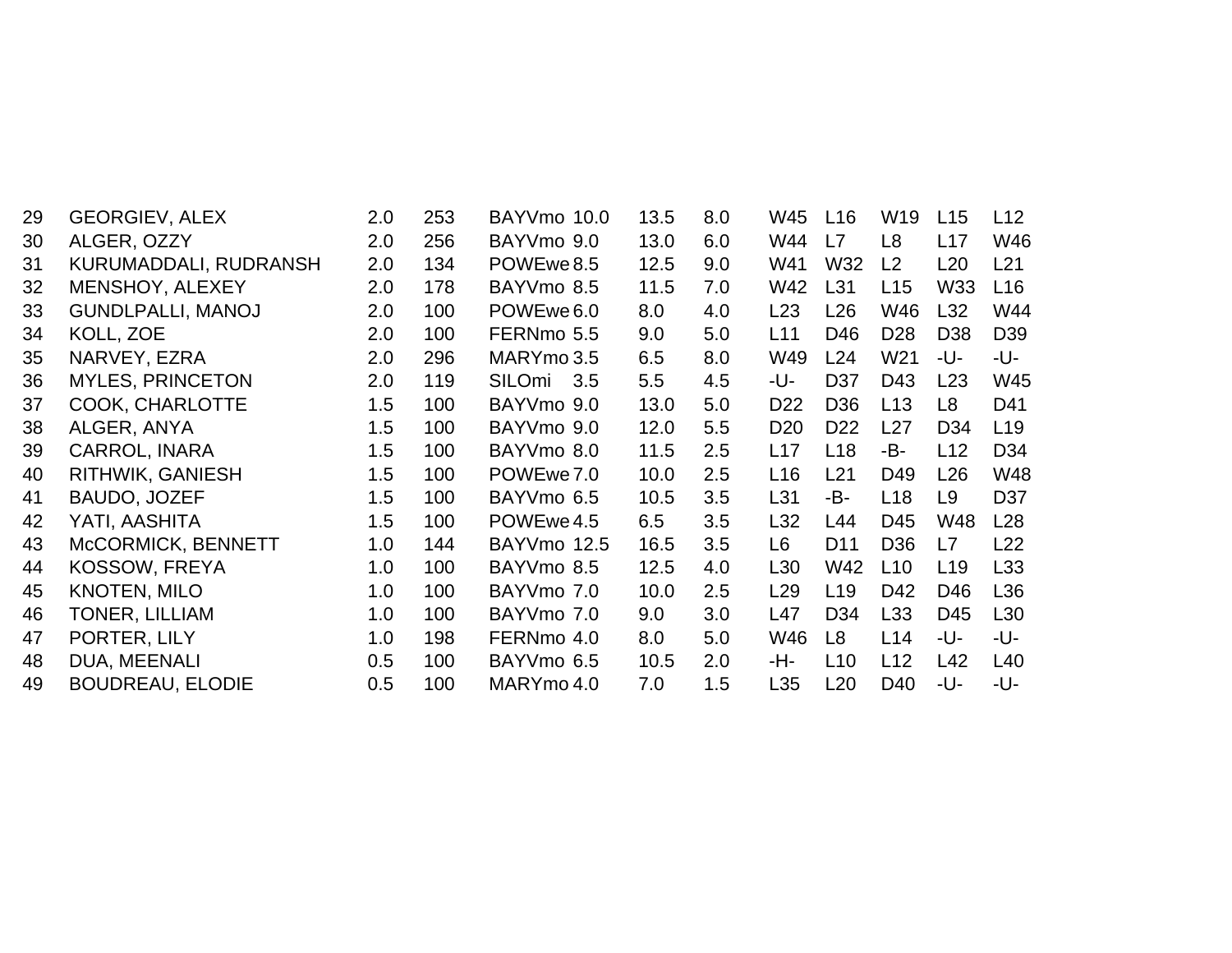| 29 | <b>GEORGIEV, ALEX</b>    | 2.0 | 253 | BAYVmo 10.0   | 13.5 | 8.0 | W45             | L16             | W19             | L15             | L12             |
|----|--------------------------|-----|-----|---------------|------|-----|-----------------|-----------------|-----------------|-----------------|-----------------|
| 30 | ALGER, OZZY              | 2.0 | 256 | BAYVmo 9.0    | 13.0 | 6.0 | W44             | L7              | L <sub>8</sub>  | L17             | W46             |
| 31 | KURUMADDALI, RUDRANSH    | 2.0 | 134 | POWEwe 8.5    | 12.5 | 9.0 | W41             | W32             | L2              | L20             | L21             |
| 32 | MENSHOY, ALEXEY          | 2.0 | 178 | BAYVmo 8.5    | 11.5 | 7.0 | W42             | L31             | L15             | W33             | L <sub>16</sub> |
| 33 | <b>GUNDLPALLI, MANOJ</b> | 2.0 | 100 | POWEwe 6.0    | 8.0  | 4.0 | L23             | L26             | W46             | L32             | W44             |
| 34 | KOLL, ZOE                | 2.0 | 100 | FERNmo 5.5    | 9.0  | 5.0 | L11             | D46             | D <sub>28</sub> | D38             | D <sub>39</sub> |
| 35 | NARVEY, EZRA             | 2.0 | 296 | MARYmo 3.5    | 6.5  | 8.0 | W49             | L24             | W21             | -U-             | -U-             |
| 36 | <b>MYLES, PRINCETON</b>  | 2.0 | 119 | SILOmi<br>3.5 | 5.5  | 4.5 | -U-             | D <sub>37</sub> | D43             | L23             | W45             |
| 37 | <b>COOK, CHARLOTTE</b>   | 1.5 | 100 | BAYVmo 9.0    | 13.0 | 5.0 | D <sub>22</sub> | D <sub>36</sub> | L13             | L8              | D41             |
| 38 | ALGER, ANYA              | 1.5 | 100 | BAYVmo 9.0    | 12.0 | 5.5 | D <sub>20</sub> | D <sub>22</sub> | L27             | D34             | L <sub>19</sub> |
| 39 | CARROL, INARA            | 1.5 | 100 | BAYVmo 8.0    | 11.5 | 2.5 | L17             | L18             | -B-             | L12             | D34             |
| 40 | RITHWIK, GANIESH         | 1.5 | 100 | POWEwe 7.0    | 10.0 | 2.5 | L <sub>16</sub> | L21             | D49             | L26             | W48             |
| 41 | BAUDO, JOZEF             | 1.5 | 100 | BAYVmo 6.5    | 10.5 | 3.5 | L31             | -B-             | L18             | L9              | D37             |
| 42 | YATI, AASHITA            | 1.5 | 100 | POWEwe 4.5    | 6.5  | 3.5 | L32             | L44             | D45             | W48             | L <sub>28</sub> |
| 43 | McCORMICK, BENNETT       | 1.0 | 144 | BAYVmo 12.5   | 16.5 | 3.5 | L6              | D <sub>11</sub> | D36             | L7              | L22             |
| 44 | KOSSOW, FREYA            | 1.0 | 100 | BAYVmo 8.5    | 12.5 | 4.0 | L30             | W42             | L10             | L <sub>19</sub> | L33             |
| 45 | <b>KNOTEN, MILO</b>      | 1.0 | 100 | BAYVmo 7.0    | 10.0 | 2.5 | L <sub>29</sub> | L <sub>19</sub> | D42             | D46             | L36             |
| 46 | TONER, LILLIAM           | 1.0 | 100 | BAYVmo 7.0    | 9.0  | 3.0 | L47             | D34             | L33             | D45             | L30             |
| 47 | PORTER, LILY             | 1.0 | 198 | FERNmo 4.0    | 8.0  | 5.0 | W46             | L8              | L14             | -U-             | -U-             |
| 48 | DUA, MEENALI             | 0.5 | 100 | BAYVmo 6.5    | 10.5 | 2.0 | -H-             | L10             | L12             | L42             | L40             |
| 49 | <b>BOUDREAU, ELODIE</b>  | 0.5 | 100 | MARYmo 4.0    | 7.0  | 1.5 | L35             | L20             | D40             | -U-             | -U-             |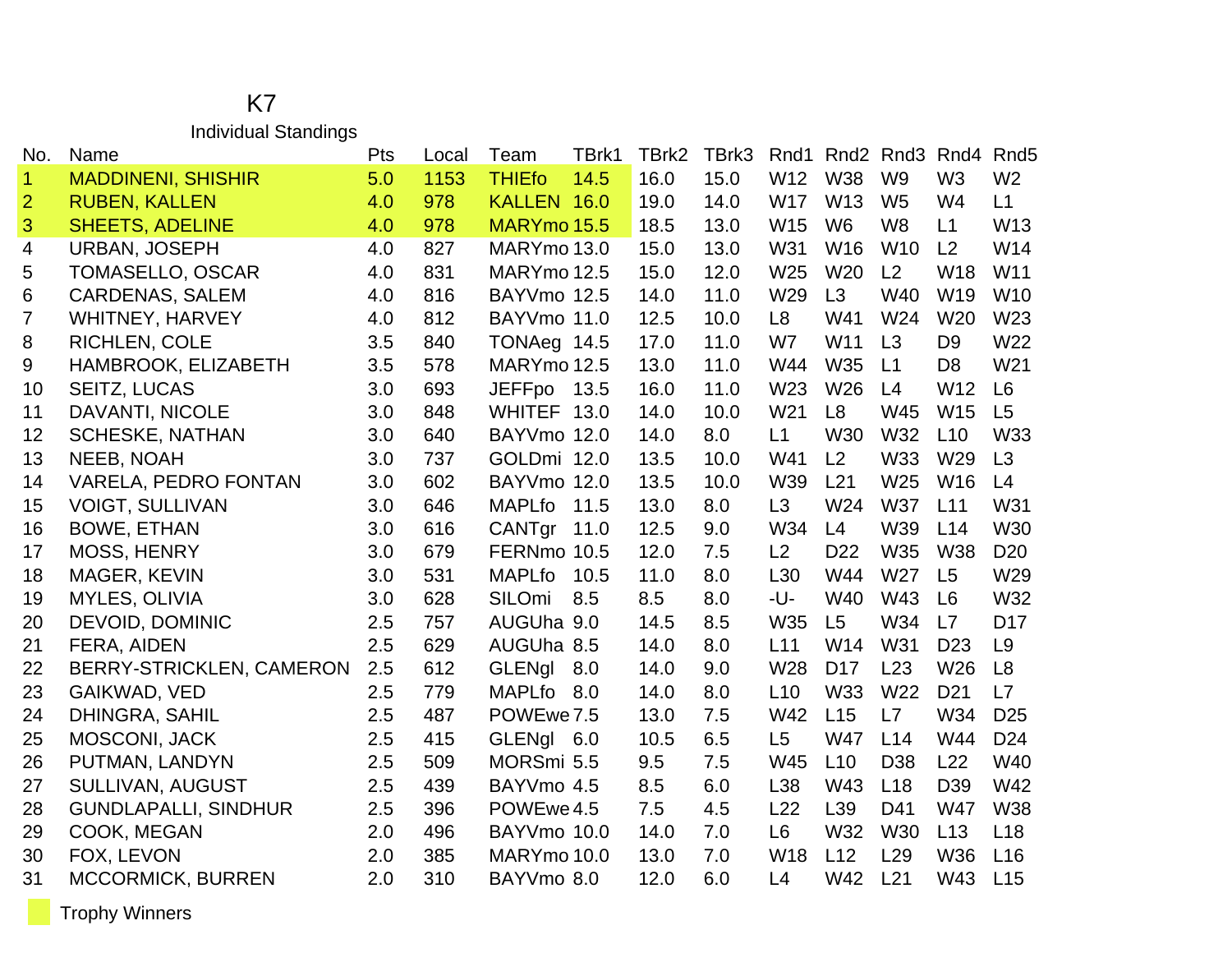## K7 Individual Standings

| No.                  | Name                        | Pts | Local | TBrk1<br>Team         |     | TBrk2 | TBrk3 | Rnd1            |                 | Rnd <sub>2</sub> Rnd <sub>3</sub> | Rnd4            | Rnd <sub>5</sub> |
|----------------------|-----------------------------|-----|-------|-----------------------|-----|-------|-------|-----------------|-----------------|-----------------------------------|-----------------|------------------|
| $\blacktriangleleft$ | <b>MADDINENI, SHISHIR</b>   | 5.0 | 1153  | <b>THIEfo</b><br>14.5 |     | 16.0  | 15.0  | W12             | <b>W38</b>      | W <sub>9</sub>                    | W <sub>3</sub>  | W <sub>2</sub>   |
| $\overline{2}$       | <b>RUBEN, KALLEN</b>        | 4.0 | 978   | KALLEN 16.0           |     | 19.0  | 14.0  | <b>W17</b>      | W13             | W <sub>5</sub>                    | W4              | L1               |
| 3                    | <b>SHEETS, ADELINE</b>      | 4.0 | 978   | MARYmo 15.5           |     | 18.5  | 13.0  | W15             | W <sub>6</sub>  | W <sub>8</sub>                    | L1              | W13              |
| $\overline{4}$       | <b>URBAN, JOSEPH</b>        | 4.0 | 827   | MARYmo 13.0           |     | 15.0  | 13.0  | W31             | W16             | W10                               | L <sub>2</sub>  | W14              |
| 5                    | TOMASELLO, OSCAR            | 4.0 | 831   | MARYmo 12.5           |     | 15.0  | 12.0  | W25             | W20             | L2                                | W18             | W <sub>11</sub>  |
| 6                    | <b>CARDENAS, SALEM</b>      | 4.0 | 816   | BAYVmo 12.5           |     | 14.0  | 11.0  | W29             | L3              | W40                               | W19             | W10              |
| 7                    | <b>WHITNEY, HARVEY</b>      | 4.0 | 812   | BAYVmo 11.0           |     | 12.5  | 10.0  | L8              | W41             | W24                               | W <sub>20</sub> | W23              |
| 8                    | <b>RICHLEN, COLE</b>        | 3.5 | 840   | TONAeg 14.5           |     | 17.0  | 11.0  | W7              | W11             | L3                                | D <sub>9</sub>  | W22              |
| 9                    | HAMBROOK, ELIZABETH         | 3.5 | 578   | MARYmo 12.5           |     | 13.0  | 11.0  | W44             | W35             | L1                                | D <sub>8</sub>  | W21              |
| 10                   | SEITZ, LUCAS                | 3.0 | 693   | <b>JEFFpo</b><br>13.5 |     | 16.0  | 11.0  | W23             | W26             | L4                                | W12             | L <sub>6</sub>   |
| 11                   | DAVANTI, NICOLE             | 3.0 | 848   | WHITEF 13.0           |     | 14.0  | 10.0  | W21             | L <sub>8</sub>  | W45                               | <b>W15</b>      | L5               |
| 12                   | <b>SCHESKE, NATHAN</b>      | 3.0 | 640   | BAYVmo 12.0           |     | 14.0  | 8.0   | L1              | <b>W30</b>      | W32                               | L10             | W33              |
| 13                   | <b>NEEB, NOAH</b>           | 3.0 | 737   | GOLDmi 12.0           |     | 13.5  | 10.0  | W41             | L2              | <b>W33</b>                        | W29             | L3               |
| 14                   | <b>VARELA, PEDRO FONTAN</b> | 3.0 | 602   | BAYVmo 12.0           |     | 13.5  | 10.0  | W39             | L21             | W25                               | W16             | L4               |
| 15                   | <b>VOIGT, SULLIVAN</b>      | 3.0 | 646   | <b>MAPLfo</b><br>11.5 |     | 13.0  | 8.0   | L3              | W24             | <b>W37</b>                        | L11             | W31              |
| 16                   | <b>BOWE, ETHAN</b>          | 3.0 | 616   | CANTgr<br>11.0        |     | 12.5  | 9.0   | W34             | L4              | W39                               | L14             | W30              |
| 17                   | MOSS, HENRY                 | 3.0 | 679   | FERNmo 10.5           |     | 12.0  | 7.5   | L2              | D <sub>22</sub> | <b>W35</b>                        | <b>W38</b>      | D <sub>20</sub>  |
| 18                   | <b>MAGER, KEVIN</b>         | 3.0 | 531   | <b>MAPLfo</b><br>10.5 |     | 11.0  | 8.0   | L <sub>30</sub> | W44             | W27                               | L <sub>5</sub>  | W29              |
| 19                   | <b>MYLES, OLIVIA</b>        | 3.0 | 628   | SILOmi<br>8.5         | 8.5 |       | 8.0   | -U-             | W40             | W43                               | L <sub>6</sub>  | W32              |
| 20                   | DEVOID, DOMINIC             | 2.5 | 757   | AUGUha 9.0            |     | 14.5  | 8.5   | W35             | L5              | W34                               | L7              | D <sub>17</sub>  |
| 21                   | FERA, AIDEN                 | 2.5 | 629   | AUGUha 8.5            |     | 14.0  | 8.0   | L11             | W14             | W31                               | D <sub>23</sub> | L <sub>9</sub>   |
| 22                   | BERRY-STRICKLEN, CAMERON    | 2.5 | 612   | <b>GLENgl</b><br>8.0  |     | 14.0  | 9.0   | W28             | D <sub>17</sub> | L23                               | W26             | L <sub>8</sub>   |
| 23                   | GAIKWAD, VED                | 2.5 | 779   | <b>MAPLfo</b><br>8.0  |     | 14.0  | 8.0   | L10             | W33             | W22                               | D <sub>21</sub> | L7               |
| 24                   | DHINGRA, SAHIL              | 2.5 | 487   | POWEwe 7.5            |     | 13.0  | 7.5   | W42             | L15             | L7                                | W34             | D <sub>25</sub>  |
| 25                   | <b>MOSCONI, JACK</b>        | 2.5 | 415   | GLENgl 6.0            |     | 10.5  | 6.5   | L <sub>5</sub>  | <b>W47</b>      | L14                               | W44             | D <sub>24</sub>  |
| 26                   | PUTMAN, LANDYN              | 2.5 | 509   | MORSmi 5.5            | 9.5 |       | 7.5   | W45             | L10             | D38                               | L22             | W40              |
| 27                   | <b>SULLIVAN, AUGUST</b>     | 2.5 | 439   | BAYVmo 4.5            | 8.5 |       | 6.0   | L38             | W43             | L <sub>18</sub>                   | D39             | W42              |
| 28                   | <b>GUNDLAPALLI, SINDHUR</b> | 2.5 | 396   | POWEwe 4.5            | 7.5 |       | 4.5   | L22             | L <sub>39</sub> | D41                               | <b>W47</b>      | <b>W38</b>       |
| 29                   | COOK, MEGAN                 | 2.0 | 496   | BAYVmo 10.0           |     | 14.0  | 7.0   | L <sub>6</sub>  | <b>W32</b>      | W30                               | L13             | L <sub>18</sub>  |
| 30                   | FOX, LEVON                  | 2.0 | 385   | MARYmo 10.0           |     | 13.0  | 7.0   | W18             | L12             | L <sub>29</sub>                   | W36             | L <sub>16</sub>  |
| 31                   | <b>MCCORMICK, BURREN</b>    | 2.0 | 310   | BAYVmo 8.0            |     | 12.0  | 6.0   | L4              | W42             | L21                               | W43             | L15              |

Trophy Winners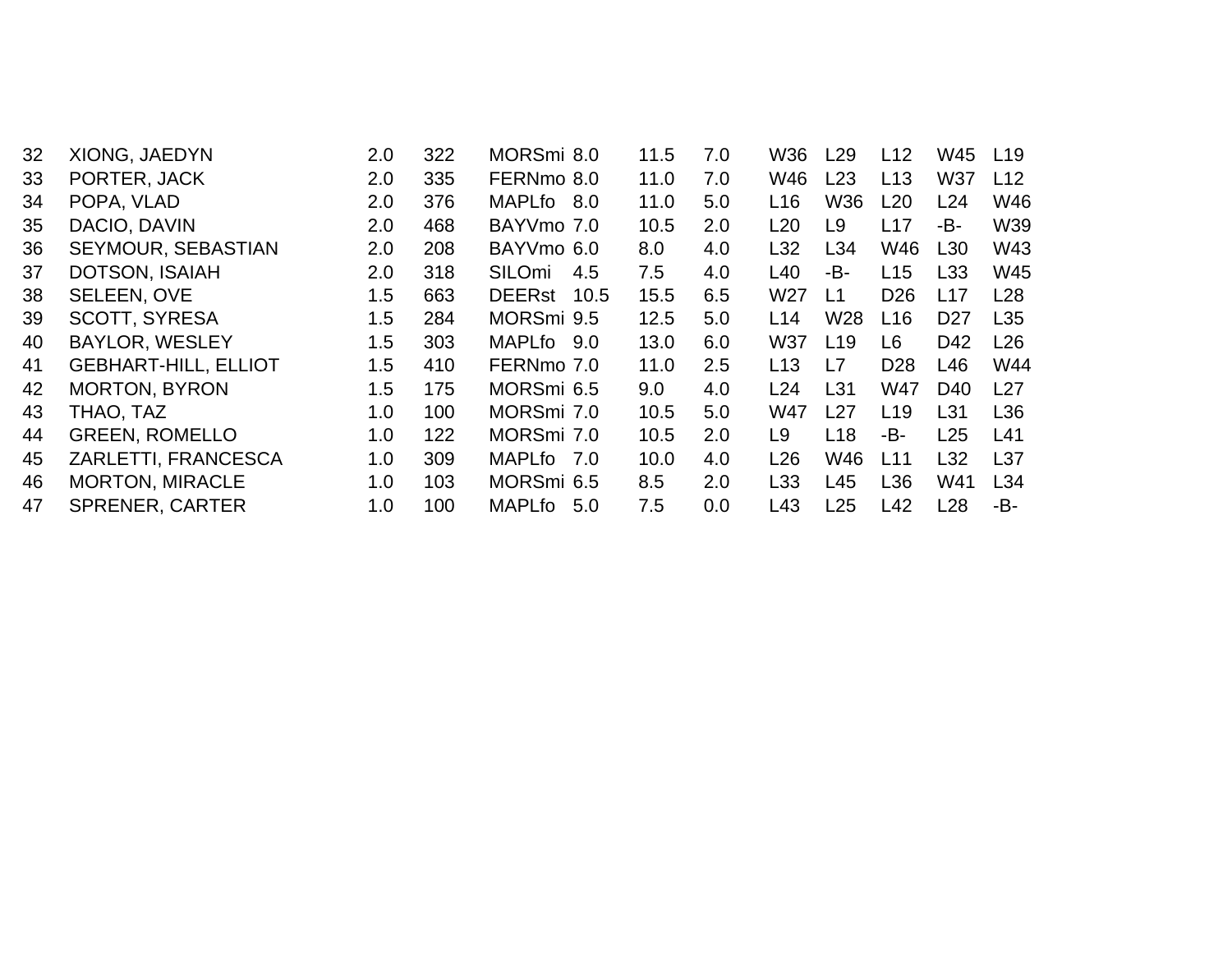| 32 | <b>XIONG, JAEDYN</b>        | 2.0 | 322 | MORSmi 8.0    |     | 11.5 | 7.0 | W36             | L29             | L12             | W45             | L <sub>19</sub> |
|----|-----------------------------|-----|-----|---------------|-----|------|-----|-----------------|-----------------|-----------------|-----------------|-----------------|
| 33 | PORTER, JACK                | 2.0 | 335 | FERNmo 8.0    |     | 11.0 | 7.0 | W46             | L23             | L13             | W37             | L12             |
| 34 | POPA, VLAD                  | 2.0 | 376 | MAPLfo 8.0    |     | 11.0 | 5.0 | L16             | W36             | L20             | L24             | W46             |
| 35 | DACIO, DAVIN                | 2.0 | 468 | BAYVmo 7.0    |     | 10.5 | 2.0 | L20             | L9              | L17             | -В-             | W39             |
| 36 | SEYMOUR, SEBASTIAN          | 2.0 | 208 | BAYVmo 6.0    |     | 8.0  | 4.0 | L32             | L34             | W46             | L30             | W43             |
| 37 | DOTSON, ISAIAH              | 2.0 | 318 | SILOmi        | 4.5 | 7.5  | 4.0 | L40             | -В-             | L15             | L33             | W45             |
| 38 | SELEEN, OVE                 | 1.5 | 663 | DEERst 10.5   |     | 15.5 | 6.5 | W <sub>27</sub> | L1              | D <sub>26</sub> | L17             | L28             |
| 39 | <b>SCOTT, SYRESA</b>        | 1.5 | 284 | MORSmi 9.5    |     | 12.5 | 5.0 | L14             | W <sub>28</sub> | L16             | D <sub>27</sub> | L35             |
| 40 | <b>BAYLOR, WESLEY</b>       | 1.5 | 303 | MAPLfo 9.0    |     | 13.0 | 6.0 | W37             | L <sub>19</sub> | L6              | D42             | L26             |
| 41 | <b>GEBHART-HILL, ELLIOT</b> | 1.5 | 410 | FERNmo 7.0    |     | 11.0 | 2.5 | L13             | L7              | D <sub>28</sub> | L46             | W44             |
| 42 | <b>MORTON, BYRON</b>        | 1.5 | 175 | MORSmi 6.5    |     | 9.0  | 4.0 | L24             | L31             | <b>W47</b>      | D <sub>40</sub> | L27             |
| 43 | THAO, TAZ                   | 1.0 | 100 | MORSmi 7.0    |     | 10.5 | 5.0 | W47             | L27             | L19             | L31             | L36             |
| 44 | <b>GREEN, ROMELLO</b>       | 1.0 | 122 | MORSmi 7.0    |     | 10.5 | 2.0 | L9              | L18             | -B-             | L25             | L41             |
| 45 | ZARLETTI, FRANCESCA         | 1.0 | 309 | MAPLfo 7.0    |     | 10.0 | 4.0 | L26             | W46             | L11             | L <sub>32</sub> | L <sub>37</sub> |
| 46 | <b>MORTON, MIRACLE</b>      | 1.0 | 103 | MORSmi 6.5    |     | 8.5  | 2.0 | L <sub>33</sub> | L45             | L36             | W41             | L34             |
| 47 | <b>SPRENER, CARTER</b>      | 1.0 | 100 | <b>MAPLfo</b> | 5.0 | 7.5  | 0.0 | L43             | L25             | L42             | L28             | -В-             |
|    |                             |     |     |               |     |      |     |                 |                 |                 |                 |                 |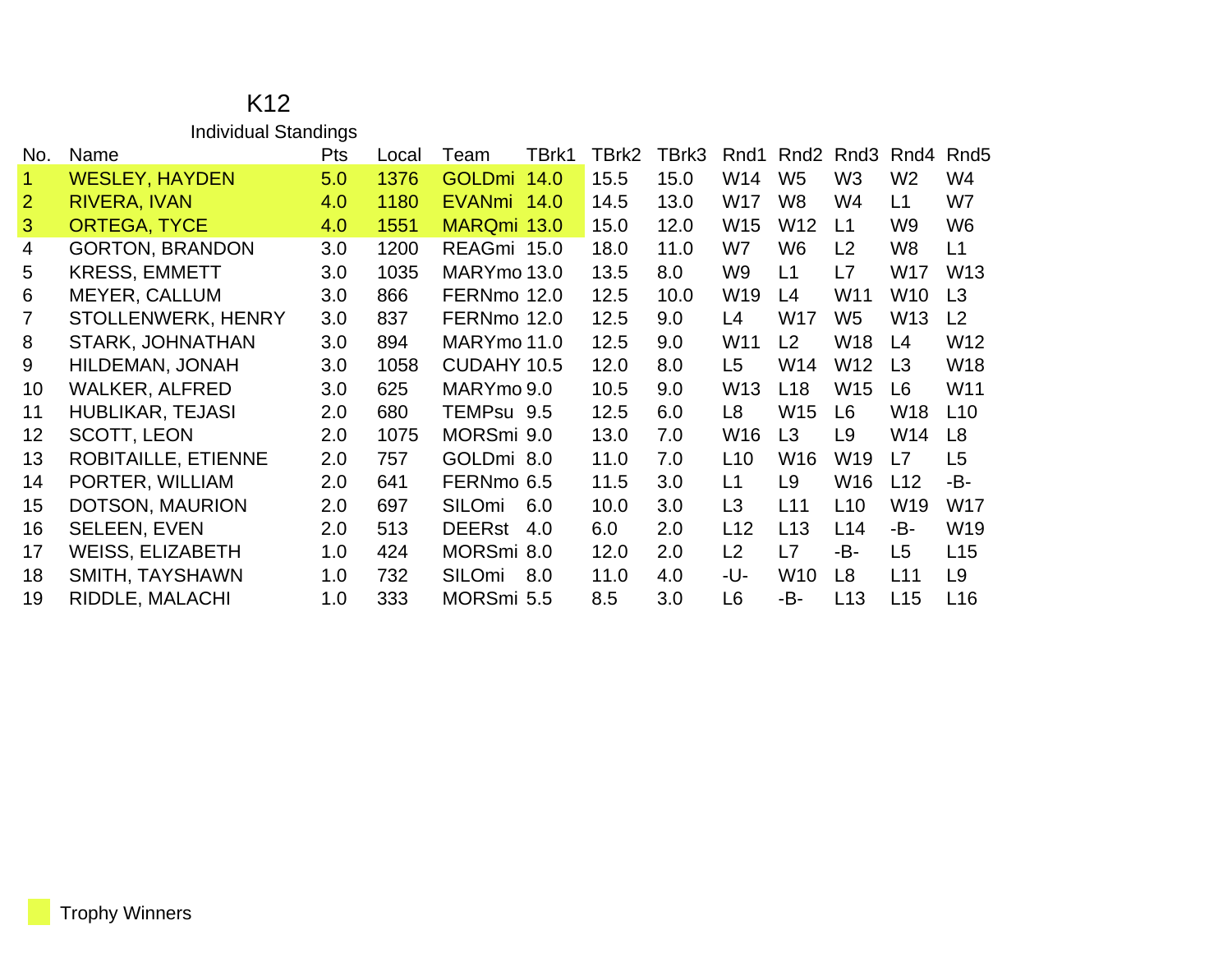|                | <b>Individual Standings</b> |            |       |               |       |       |       |                 |                  |                  |                 |                  |
|----------------|-----------------------------|------------|-------|---------------|-------|-------|-------|-----------------|------------------|------------------|-----------------|------------------|
| No.            | Name                        | <b>Pts</b> | Local | Team          | TBrk1 | TBrk2 | TBrk3 | Rnd1            | Rnd <sub>2</sub> | Rnd <sub>3</sub> | Rnd4            | Rnd <sub>5</sub> |
| $\mathbf{1}$   | <b>WESLEY, HAYDEN</b>       | 5.0        | 1376  | GOLDmi 14.0   |       | 15.5  | 15.0  | W14             | W <sub>5</sub>   | W <sub>3</sub>   | W <sub>2</sub>  | W4               |
| $\overline{2}$ | RIVERA, IVAN                | 4.0        | 1180  | EVANmi 14.0   |       | 14.5  | 13.0  | W17             | W <sub>8</sub>   | W4               | L1              | W7               |
| 3              | <b>ORTEGA, TYCE</b>         | 4.0        | 1551  | MARQmi 13.0   |       | 15.0  | 12.0  | W15             | W <sub>12</sub>  | L1               | W9              | W <sub>6</sub>   |
| 4              | <b>GORTON, BRANDON</b>      | 3.0        | 1200  | REAGmi 15.0   |       | 18.0  | 11.0  | W7              | W <sub>6</sub>   | L2               | W8              | L1               |
| 5              | <b>KRESS, EMMETT</b>        | 3.0        | 1035  | MARYmo 13.0   |       | 13.5  | 8.0   | W9              | L1               | L7               | W17             | W <sub>13</sub>  |
| 6              | <b>MEYER, CALLUM</b>        | 3.0        | 866   | FERNmo 12.0   |       | 12.5  | 10.0  | W <sub>19</sub> | L4               | W11              | W <sub>10</sub> | L3               |
| 7              | STOLLENWERK, HENRY          | 3.0        | 837   | FERNmo 12.0   |       | 12.5  | 9.0   | L4              | W17              | W <sub>5</sub>   | W <sub>13</sub> | L <sub>2</sub>   |
| 8              | STARK, JOHNATHAN            | 3.0        | 894   | MARYmo 11.0   |       | 12.5  | 9.0   | W <sub>11</sub> | L <sub>2</sub>   | W18              | L4              | W12              |
| 9              | HILDEMAN, JONAH             | 3.0        | 1058  | CUDAHY 10.5   |       | 12.0  | 8.0   | L5              | W14              | W12              | L <sub>3</sub>  | <b>W18</b>       |
| 10             | <b>WALKER, ALFRED</b>       | 3.0        | 625   | MARYmo 9.0    |       | 10.5  | 9.0   | W <sub>13</sub> | L18              | W15              | L <sub>6</sub>  | W11              |
| 11             | <b>HUBLIKAR, TEJASI</b>     | 2.0        | 680   | TEMPsu 9.5    |       | 12.5  | 6.0   | L <sub>8</sub>  | W15              | L6               | W <sub>18</sub> | L10              |
| 12             | <b>SCOTT, LEON</b>          | 2.0        | 1075  | MORSmi 9.0    |       | 13.0  | 7.0   | W16             | L <sub>3</sub>   | L9               | W14             | L8               |
| 13             | ROBITAILLE, ETIENNE         | 2.0        | 757   | GOLDmi 8.0    |       | 11.0  | 7.0   | L10             | W16              | W19              | L7              | L <sub>5</sub>   |
| 14             | PORTER, WILLIAM             | 2.0        | 641   | FERNmo 6.5    |       | 11.5  | 3.0   | L1              | L9               | W16              | L12             | -B-              |
| 15             | DOTSON, MAURION             | 2.0        | 697   | SILOmi        | 6.0   | 10.0  | 3.0   | L <sub>3</sub>  | L11              | L <sub>10</sub>  | W <sub>19</sub> | W17              |
| 16             | <b>SELEEN, EVEN</b>         | 2.0        | 513   | <b>DEERst</b> | 4.0   | 6.0   | 2.0   | L12             | L13              | L14              | -B-             | W <sub>19</sub>  |
| 17             | <b>WEISS, ELIZABETH</b>     | 1.0        | 424   | MORSmi 8.0    |       | 12.0  | 2.0   | L2              | L7               | -B-              | L5              | L15              |
| 18             | SMITH, TAYSHAWN             | 1.0        | 732   | SILOmi        | 8.0   | 11.0  | 4.0   | -U-             | W <sub>10</sub>  | L <sub>8</sub>   | L11             | L <sub>9</sub>   |
| 19             | RIDDLE, MALACHI             | 1.0        | 333   | MORSmi 5.5    |       | 8.5   | 3.0   | L <sub>6</sub>  | -B-              | L <sub>13</sub>  | L15             | L16              |

## K12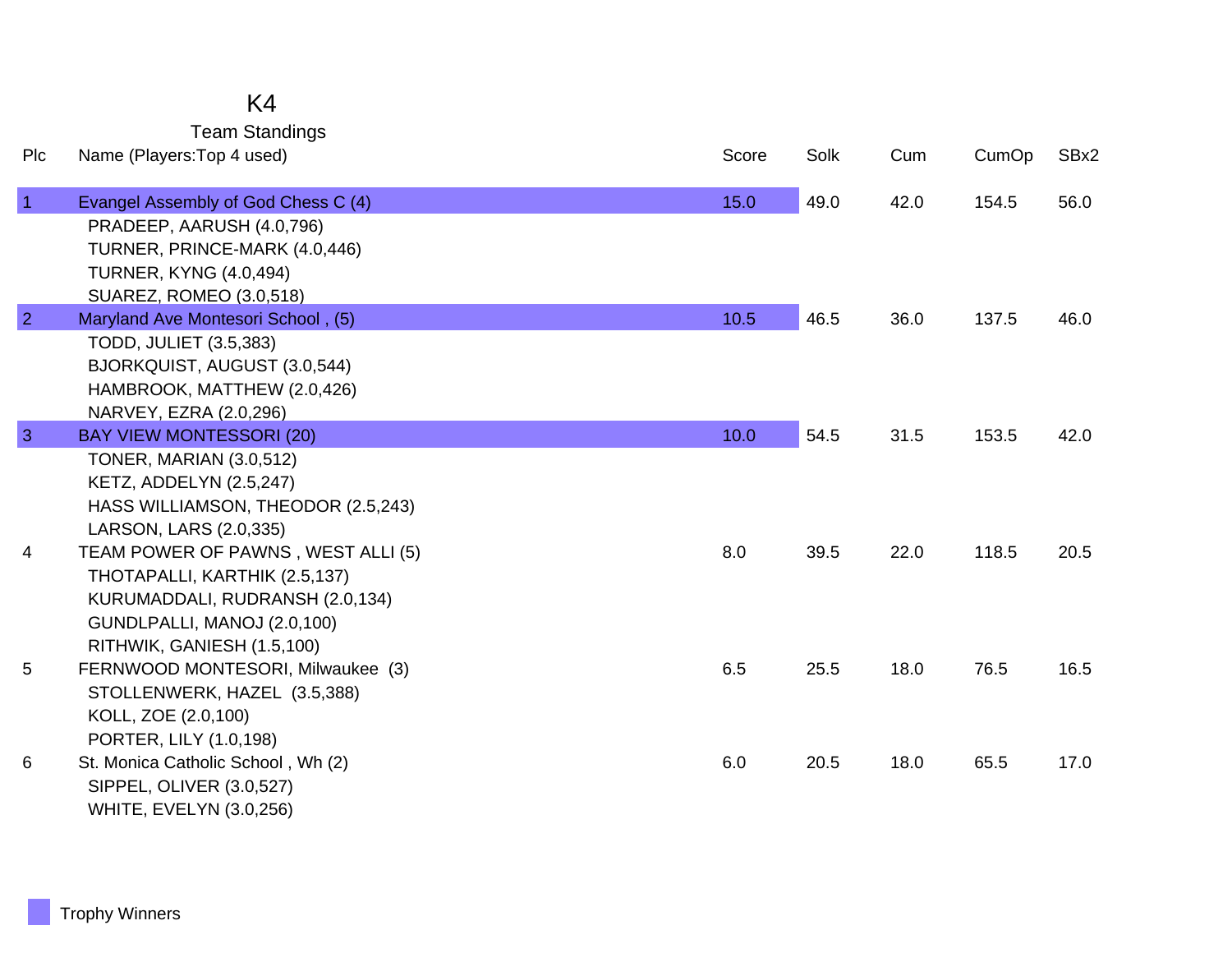|                | <b>Team Standings</b>                                         |       |      |      |       |      |
|----------------|---------------------------------------------------------------|-------|------|------|-------|------|
| Plc            | Name (Players: Top 4 used)                                    | Score | Solk | Cum  | CumOp | SBx2 |
| $\overline{1}$ | Evangel Assembly of God Chess C (4)                           | 15.0  | 49.0 | 42.0 | 154.5 | 56.0 |
|                | PRADEEP, AARUSH (4.0,796)                                     |       |      |      |       |      |
|                | TURNER, PRINCE-MARK (4.0,446)                                 |       |      |      |       |      |
|                | <b>TURNER, KYNG (4.0,494)</b>                                 |       |      |      |       |      |
|                | SUAREZ, ROMEO (3.0,518)                                       |       |      |      |       |      |
| $\overline{2}$ | Maryland Ave Montesori School, (5)                            | 10.5  | 46.5 | 36.0 | 137.5 | 46.0 |
|                | <b>TODD, JULIET (3.5,383)</b><br>BJORKQUIST, AUGUST (3.0,544) |       |      |      |       |      |
|                | HAMBROOK, MATTHEW (2.0,426)                                   |       |      |      |       |      |
|                | NARVEY, EZRA (2.0,296)                                        |       |      |      |       |      |
| $\overline{3}$ | <b>BAY VIEW MONTESSORI (20)</b>                               | 10.0  | 54.5 | 31.5 | 153.5 | 42.0 |
|                | <b>TONER, MARIAN (3.0,512)</b>                                |       |      |      |       |      |
|                | <b>KETZ, ADDELYN (2.5,247)</b>                                |       |      |      |       |      |
|                | HASS WILLIAMSON, THEODOR (2.5,243)                            |       |      |      |       |      |
|                | LARSON, LARS (2.0,335)                                        |       |      |      |       |      |
| 4              | TEAM POWER OF PAWNS, WEST ALLI (5)                            | 8.0   | 39.5 | 22.0 | 118.5 | 20.5 |
|                | THOTAPALLI, KARTHIK (2.5,137)                                 |       |      |      |       |      |
|                | KURUMADDALI, RUDRANSH (2.0,134)                               |       |      |      |       |      |
|                | GUNDLPALLI, MANOJ (2.0,100)                                   |       |      |      |       |      |
|                | RITHWIK, GANIESH (1.5,100)                                    |       |      |      |       |      |
| 5              | FERNWOOD MONTESORI, Milwaukee (3)                             | 6.5   | 25.5 | 18.0 | 76.5  | 16.5 |
|                | STOLLENWERK, HAZEL (3.5,388)                                  |       |      |      |       |      |
|                | KOLL, ZOE (2.0,100)                                           |       |      |      |       |      |
|                | PORTER, LILY (1.0,198)                                        |       |      |      |       |      |
| 6              | St. Monica Catholic School, Wh (2)                            | 6.0   | 20.5 | 18.0 | 65.5  | 17.0 |
|                | SIPPEL, OLIVER (3.0,527)                                      |       |      |      |       |      |

WHITE, EVELYN (3.0,256)

K4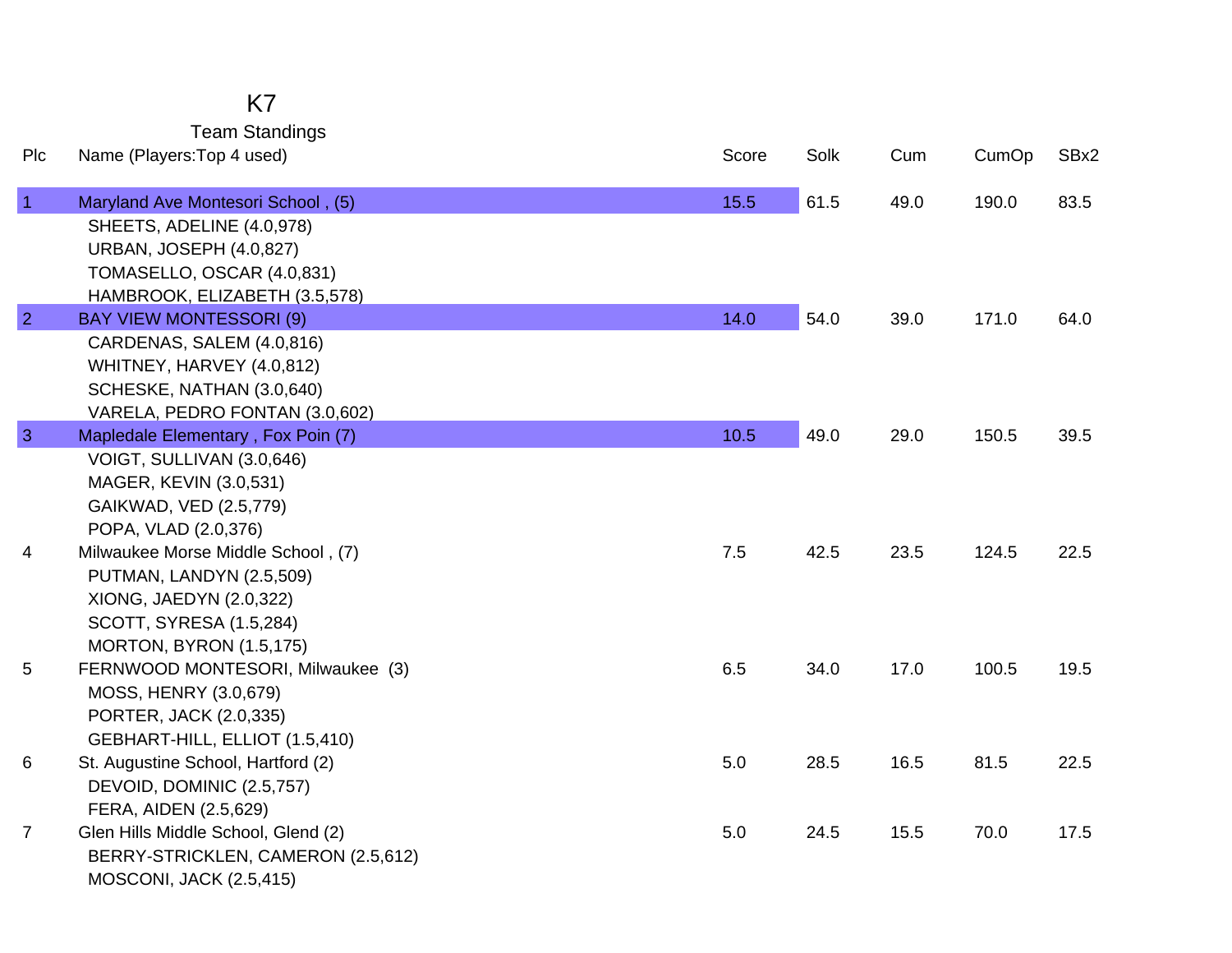Team Standings

| Plc            | Name (Players: Top 4 used)                                                                                                                                                               | Score   | Solk | Cum  | CumOp | SBx2 |
|----------------|------------------------------------------------------------------------------------------------------------------------------------------------------------------------------------------|---------|------|------|-------|------|
| $\vert$ 1      | Maryland Ave Montesori School, (5)<br>SHEETS, ADELINE (4.0,978)<br><b>URBAN, JOSEPH (4.0,827)</b><br>TOMASELLO, OSCAR (4.0,831)                                                          | 15.5    | 61.5 | 49.0 | 190.0 | 83.5 |
| $\overline{2}$ | HAMBROOK, ELIZABETH (3.5,578)<br><b>BAY VIEW MONTESSORI (9)</b><br>CARDENAS, SALEM (4.0,816)<br>WHITNEY, HARVEY (4.0,812)<br>SCHESKE, NATHAN (3.0,640)<br>VARELA, PEDRO FONTAN (3.0,602) | 14.0    | 54.0 | 39.0 | 171.0 | 64.0 |
| $\mathbf{3}$   | Mapledale Elementary, Fox Poin (7)<br>VOIGT, SULLIVAN (3.0,646)<br>MAGER, KEVIN (3.0,531)<br>GAIKWAD, VED (2.5,779)<br>POPA, VLAD (2.0,376)                                              | 10.5    | 49.0 | 29.0 | 150.5 | 39.5 |
| 4              | Milwaukee Morse Middle School, (7)<br>PUTMAN, LANDYN (2.5,509)<br>XIONG, JAEDYN (2.0,322)<br>SCOTT, SYRESA (1.5,284)<br><b>MORTON, BYRON (1.5,175)</b>                                   | 7.5     | 42.5 | 23.5 | 124.5 | 22.5 |
| 5              | FERNWOOD MONTESORI, Milwaukee (3)<br>MOSS, HENRY (3.0,679)<br>PORTER, JACK (2.0,335)<br>GEBHART-HILL, ELLIOT (1.5,410)                                                                   | 6.5     | 34.0 | 17.0 | 100.5 | 19.5 |
| 6              | St. Augustine School, Hartford (2)<br>DEVOID, DOMINIC (2.5,757)<br>FERA, AIDEN (2.5,629)                                                                                                 | 5.0     | 28.5 | 16.5 | 81.5  | 22.5 |
| $\overline{7}$ | Glen Hills Middle School, Glend (2)<br>BERRY-STRICKLEN, CAMERON (2.5,612)<br><b>MOSCONI, JACK (2.5,415)</b>                                                                              | $5.0\,$ | 24.5 | 15.5 | 70.0  | 17.5 |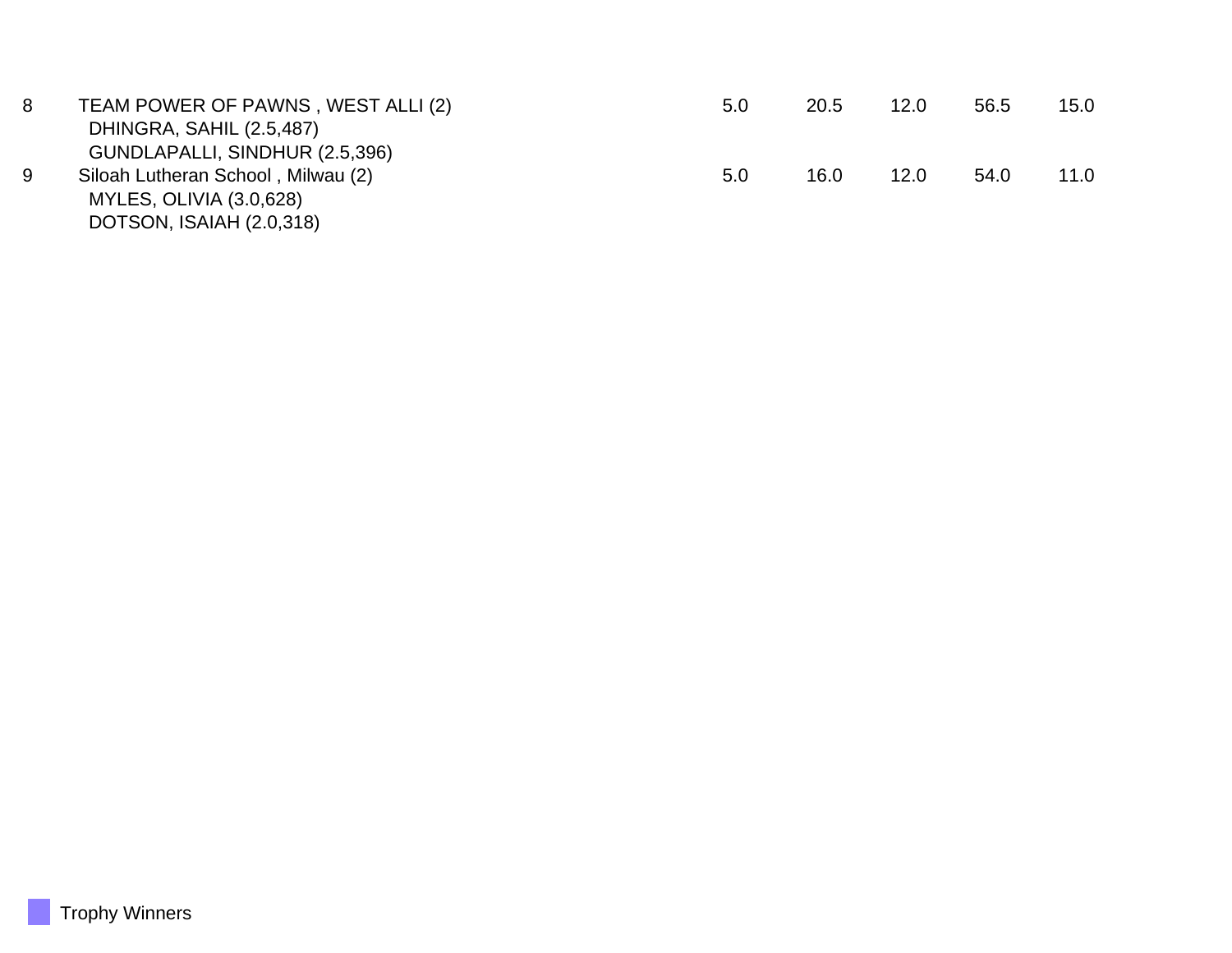| 8 | TEAM POWER OF PAWNS, WEST ALLI (2) | 5.0 | 20.5 | 12.0 | 56.5 | 15.0 |
|---|------------------------------------|-----|------|------|------|------|
|   | DHINGRA, SAHIL (2.5,487)           |     |      |      |      |      |
|   | GUNDLAPALLI, SINDHUR (2.5,396)     |     |      |      |      |      |
| 9 | Siloah Lutheran School, Milwau (2) | 5.0 | 16.0 | 12.0 | 54.0 | 11.0 |
|   | MYLES, OLIVIA (3.0,628)            |     |      |      |      |      |
|   | DOTSON, ISAIAH (2.0,318)           |     |      |      |      |      |
|   |                                    |     |      |      |      |      |